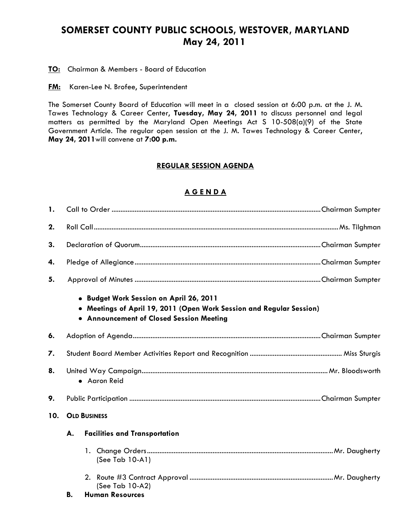## **SOMERSET COUNTY PUBLIC SCHOOLS, WESTOVER, MARYLAND May 24, 2011**

**TO:** Chairman & Members - Board of Education

**FM:** Karen-Lee N. Brofee, Superintendent

The Somerset County Board of Education will meet in a closed session at 6:00 p.m. at the J. M. Tawes Technology & Career Center, **Tuesday, May 24, 2011** to discuss personnel and legal matters as permitted by the Maryland Open Meetings Act S 10-508(a)(9) of the State Government Article. The regular open session at the J. M. Tawes Technology & Career Center, **May 24, 2011**will convene at **7:00 p.m.**

## **REGULAR SESSION AGENDA**

## **A G E N D A**

| $\mathbf{1}$ . |                     |                                                                                                                                                             |  |  |
|----------------|---------------------|-------------------------------------------------------------------------------------------------------------------------------------------------------------|--|--|
| 2.             |                     |                                                                                                                                                             |  |  |
| 3.             |                     |                                                                                                                                                             |  |  |
| 4.             |                     |                                                                                                                                                             |  |  |
| 5.             |                     |                                                                                                                                                             |  |  |
|                |                     | · Budget Work Session on April 26, 2011<br>• Meetings of April 19, 2011 (Open Work Session and Regular Session)<br>• Announcement of Closed Session Meeting |  |  |
| 6.             |                     |                                                                                                                                                             |  |  |
| 7.             |                     |                                                                                                                                                             |  |  |
| 8.             | • Aaron Reid        |                                                                                                                                                             |  |  |
| 9.             |                     |                                                                                                                                                             |  |  |
| 10.            | <b>OLD BUSINESS</b> |                                                                                                                                                             |  |  |
|                | А.                  | <b>Facilities and Transportation</b>                                                                                                                        |  |  |
|                |                     | (See Tab 10-A1)                                                                                                                                             |  |  |
|                | В.                  | (See Tab 10-A2)<br><b>Human Resources</b>                                                                                                                   |  |  |
|                |                     |                                                                                                                                                             |  |  |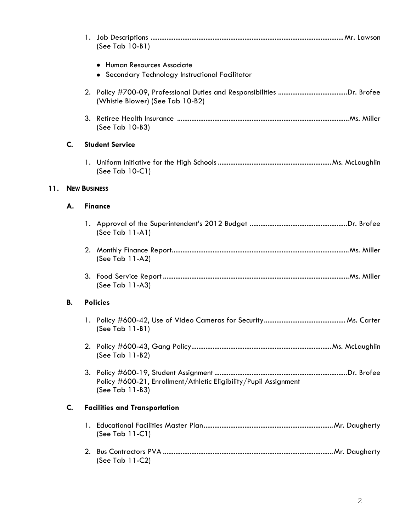|     |                | (See Tab 10-B1)                                                                     |  |
|-----|----------------|-------------------------------------------------------------------------------------|--|
|     |                | • Human Resources Associate                                                         |  |
|     |                | • Secondary Technology Instructional Facilitator                                    |  |
|     |                | (Whistle Blower) (See Tab 10-B2)                                                    |  |
|     |                | (See Tab 10-B3)                                                                     |  |
|     | $\mathsf{C}$ . | <b>Student Service</b>                                                              |  |
|     |                | (See Tab 10-C1)                                                                     |  |
| 11. |                | <b>NEW BUSINESS</b>                                                                 |  |
|     | А.             | <b>Finance</b>                                                                      |  |
|     |                | (See Tab $11-A1$ )                                                                  |  |
|     |                | (See Tab 11-A2)                                                                     |  |
|     |                | (See Tab $11-A3$ )                                                                  |  |
|     | В.             | <b>Policies</b>                                                                     |  |
|     |                | (See Tab 11-B1)                                                                     |  |
|     |                | (See Tab 11-B2)                                                                     |  |
|     |                | Policy #600-21, Enrollment/Athletic Eligibility/Pupil Assignment<br>(See Tab 11-B3) |  |
|     | C.             | <b>Facilities and Transportation</b>                                                |  |
|     |                | (See Tab $11-C1$ )                                                                  |  |
|     |                | (See Tab 11-C2)                                                                     |  |